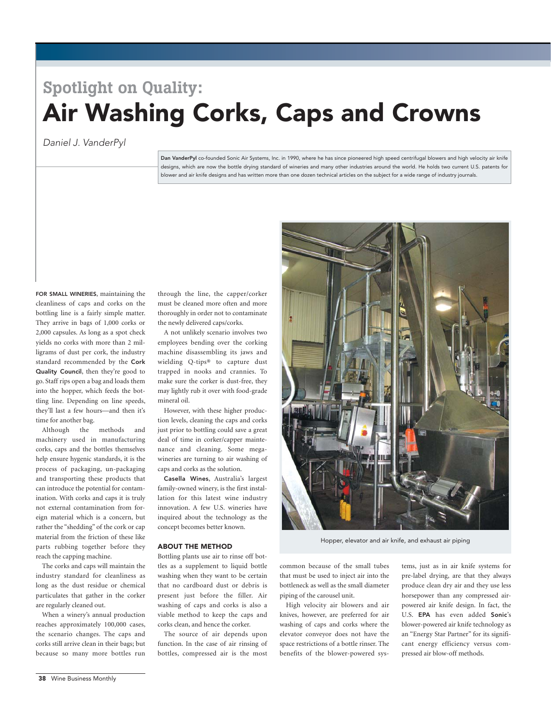## **Spotlight on Quality:**  Air Washing Corks, Caps and Crowns

Daniel J. VanderPyl

Dan VanderPyl co-founded Sonic Air Systems, Inc. in 1990, where he has since pioneered high speed centrifugal blowers and high velocity air knife designs, which are now the bottle drying standard of wineries and many other industries around the world. He holds two current U.S. patents for blower and air knife designs and has written more than one dozen technical articles on the subject for a wide range of industry journals.

FOR SMALL WINERIES, maintaining the cleanliness of caps and corks on the bottling line is a fairly simple matter. They arrive in bags of 1,000 corks or 2,000 capsules. As long as a spot check yields no corks with more than 2 milligrams of dust per cork, the industry standard recommended by the Cork Quality Council, then they're good to go. Staff rips open a bag and loads them into the hopper, which feeds the bottling line. Depending on line speeds, they'll last a few hours—and then it's time for another bag.

Although the methods and machinery used in manufacturing corks, caps and the bottles themselves help ensure hygenic standards, it is the process of packaging, un-packaging and transporting these products that can introduce the potential for contamination. With corks and caps it is truly not external contamination from foreign material which is a concern, but rather the "shedding" of the cork or cap material from the friction of these like parts rubbing together before they reach the capping machine.

The corks and caps will maintain the industry standard for cleanliness as long as the dust residue or chemical particulates that gather in the corker are regularly cleaned out.

When a winery's annual production reaches approximately 100,000 cases, the scenario changes. The caps and corks still arrive clean in their bags; but because so many more bottles run through the line, the capper/corker must be cleaned more often and more thoroughly in order not to contaminate the newly delivered caps/corks.

A not unlikely scenario involves two employees bending over the corking machine disassembling its jaws and wielding Q-tips® to capture dust trapped in nooks and crannies. To make sure the corker is dust-free, they may lightly rub it over with food-grade mineral oil.

However, with these higher production levels, cleaning the caps and corks just prior to bottling could save a great deal of time in corker/capper maintenance and cleaning. Some megawineries are turning to air washing of caps and corks as the solution.

Casella Wines, Australia's largest family-owned winery, is the first installation for this latest wine industry innovation. A few U.S. wineries have inquired about the technology as the concept becomes better known.

## ABOUT THE METHOD

Bottling plants use air to rinse off bottles as a supplement to liquid bottle washing when they want to be certain that no cardboard dust or debris is present just before the filler. Air washing of caps and corks is also a viable method to keep the caps and corks clean, and hence the corker.

The source of air depends upon function. In the case of air rinsing of bottles, compressed air is the most



Hopper, elevator and air knife, and exhaust air piping

common because of the small tubes that must be used to inject air into the bottleneck as well as the small diameter piping of the carousel unit.

High velocity air blowers and air knives, however, are preferred for air washing of caps and corks where the elevator conveyor does not have the space restrictions of a bottle rinser. The benefits of the blower-powered systems, just as in air knife systems for pre-label drying, are that they always produce clean dry air and they use less horsepower than any compressed airpowered air knife design. In fact, the U.S. EPA has even added Sonic's blower-powered air knife technology as an "Energy Star Partner" for its significant energy efficiency versus compressed air blow-off methods.